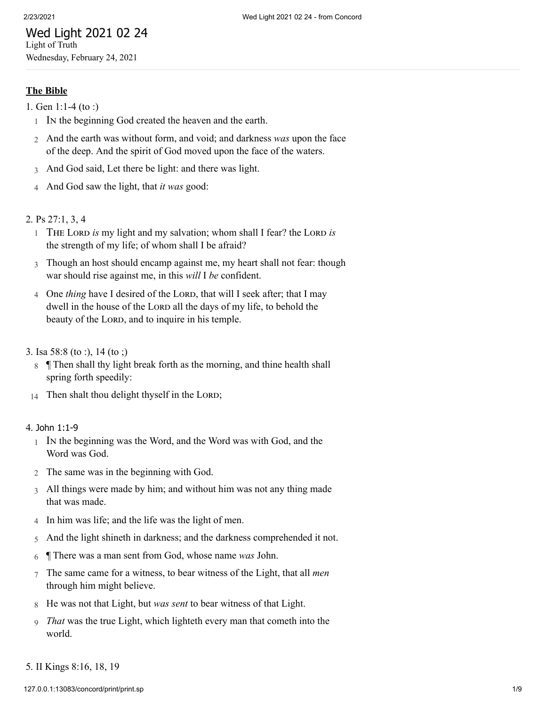# Wed Light 2021 02 24 Light of Truth

Wednesday, February 24, 2021

## **The Bible**

- 1. [Gen 1:1-4 \(to :\)](http://www.concordworks.com/citation/Gen%201:1-4%20(to%20:))
	- 1 In the beginning God created the heaven and the earth.
	- 2 And the earth was without form, and void; and darkness *was* upon the face of the deep. And the spirit of God moved upon the face of the waters.
	- 3 And God said, Let there be light: and there was light.
	- 4 And God saw the light, that *it was* good:

## 2. [Ps 27:1, 3, 4](http://www.concordworks.com/citation/Ps%2027:1,%203,%204)

- 1 THE LORD is my light and my salvation; whom shall I fear? the LORD is the strength of my life; of whom shall I be afraid?
- 3 Though an host should encamp against me, my heart shall not fear: though war should rise against me, in this *will* I *be* confident.
- 4 One *thing* have I desired of the LORD, that will I seek after; that I may dwell in the house of the LORD all the days of my life, to behold the beauty of the LORD, and to inquire in his temple.
- 3. [Isa 58:8 \(to :\), 14 \(to ;\)](http://www.concordworks.com/citation/Isa%2058:8%20(to%20:),%2014%20(to%20;))
	- 8 ¶ Then shall thy light break forth as the morning, and thine health shall spring forth speedily:
- 14 Then shalt thou delight thyself in the LORD;

#### 4. John [1:1-9](http://www.concordworks.com/citation/John%201:1-9)

- 1 In the beginning was the Word, and the Word was with God, and the Word was God.
- 2 The same was in the beginning with God.
- 3 All things were made by him; and without him was not any thing made that was made.
- 4 In him was life; and the life was the light of men.
- 5 And the light shineth in darkness; and the darkness comprehended it not.
- 6 ¶ There was a man sent from God, whose name *was* John.
- 7 The same came for a witness, to bear witness of the Light, that all *men* through him might believe.
- 8 He was not that Light, but *was sent* to bear witness of that Light.
- 9 *That* was the true Light, which lighteth every man that cometh into the world.
- 5. [II Kings 8:16, 18, 19](http://www.concordworks.com/citation/II%20Kings%208:16,%2018,%2019)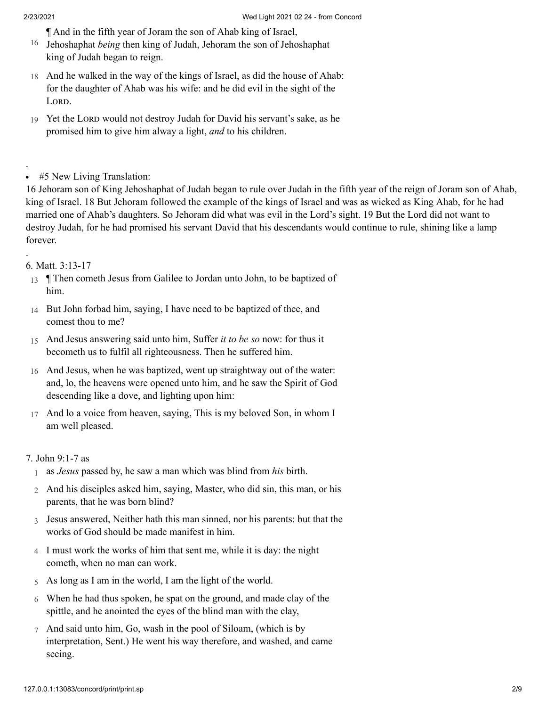.

.

¶ And in the fifth year of Joram the son of Ahab king of Israel,

- 16 Jehoshaphat *being* then king of Judah, Jehoram the son of Jehoshaphat king of Judah began to reign.
- 18 And he walked in the way of the kings of Israel, as did the house of Ahab: for the daughter of Ahab was his wife: and he did evil in the sight of the LORD.
- 19 Yet the LORD would not destroy Judah for David his servant's sake, as he promised him to give him alway a light, *and* to his children.

16 Jehoram son of King Jehoshaphat of Judah began to rule over Judah in the fifth year of the reign of Joram son of Ahab, king of Israel. 18 But Jehoram followed the example of the kings of Israel and was as wicked as King Ahab, for he had married one of Ahab's daughters. So Jehoram did what was evil in the Lord's sight. 19 But the Lord did not want to destroy Judah, for he had promised his servant David that his descendants would continue to rule, shining like a lamp forever.

## 6. [Matt. 3:13-17](http://www.concordworks.com/citation/Matt.%203:13-17)

- 13 Then cometh Jesus from Galilee to Jordan unto John, to be baptized of him.
- 14 But John forbad him, saying, I have need to be baptized of thee, and comest thou to me?
- 15 And Jesus answering said unto him, Suffer *it to be so* now: for thus it becometh us to fulfil all righteousness. Then he suffered him.
- 16 And Jesus, when he was baptized, went up straightway out of the water: and, lo, the heavens were opened unto him, and he saw the Spirit of God descending like a dove, and lighting upon him:
- 17 And lo a voice from heaven, saying, This is my beloved Son, in whom I am well pleased.

## 7. [John 9:1-7 as](http://www.concordworks.com/citation/John%209:1-7%20as)

- 1 as *Jesus* passed by, he saw a man which was blind from *his* birth.
- 2 And his disciples asked him, saying, Master, who did sin, this man, or his parents, that he was born blind?
- 3 Jesus answered, Neither hath this man sinned, nor his parents: but that the works of God should be made manifest in him.
- 4 I must work the works of him that sent me, while it is day: the night cometh, when no man can work.
- 5 As long as I am in the world, I am the light of the world.
- 6 When he had thus spoken, he spat on the ground, and made clay of the spittle, and he anointed the eyes of the blind man with the clay,
- 7 And said unto him, Go, wash in the pool of Siloam, (which is by interpretation, Sent.) He went his way therefore, and washed, and came seeing.

<sup>#5</sup> New Living Translation:  $\bullet$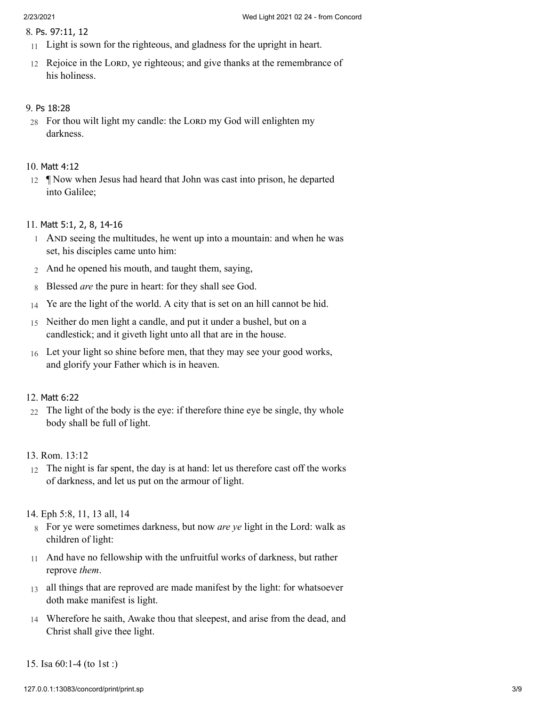#### 8. Ps. [97:11,](http://www.concordworks.com/citation/Ps.%2097:11,%2012) 12

- 11 Light is sown for the righteous, and gladness for the upright in heart.
- 12 Rejoice in the LORD, ye righteous; and give thanks at the remembrance of his holiness.

#### 9. Ps [18:28](http://www.concordworks.com/citation/Ps%2018:28)

28 For thou wilt light my candle: the LORD my God will enlighten my darkness.

#### 10. [Matt](http://www.concordworks.com/citation/Matt%204:12) 4:12

12 ¶ Now when Jesus had heard that John was cast into prison, he departed into Galilee;

## 11. Matt 5:1, 2, 8, [14-16](http://www.concordworks.com/citation/Matt%205:1,%202,%208,%2014-16)

- 1 AND seeing the multitudes, he went up into a mountain: and when he was set, his disciples came unto him:
- 2 And he opened his mouth, and taught them, saying,
- 8 Blessed *are* the pure in heart: for they shall see God.
- 14 Ye are the light of the world. A city that is set on an hill cannot be hid.
- 15 Neither do men light a candle, and put it under a bushel, but on a candlestick; and it giveth light unto all that are in the house.
- 16 Let your light so shine before men, that they may see your good works, and glorify your Father which is in heaven.

#### 12. [Matt](http://www.concordworks.com/citation/Matt%206:22) 6:22

 $22$  The light of the body is the eye: if therefore thine eye be single, thy whole body shall be full of light.

## 13. [Rom. 13:12](http://www.concordworks.com/citation/Rom.%2013:12)

12 The night is far spent, the day is at hand: let us therefore cast off the works of darkness, and let us put on the armour of light.

#### 14. [Eph 5:8, 11, 13 all, 14](http://www.concordworks.com/citation/Eph%205:8,%2011,%2013%20all,%2014)

- 8 For ye were sometimes darkness, but now *are ye* light in the Lord: walk as children of light:
- 11 And have no fellowship with the unfruitful works of darkness, but rather reprove *them*.
- 13 all things that are reproved are made manifest by the light: for whatsoever doth make manifest is light.
- 14 Wherefore he saith, Awake thou that sleepest, and arise from the dead, and Christ shall give thee light.
- 15. [Isa 60:1-4 \(to 1st :\)](http://www.concordworks.com/citation/Isa%2060:1-4%20(to%201st%20:))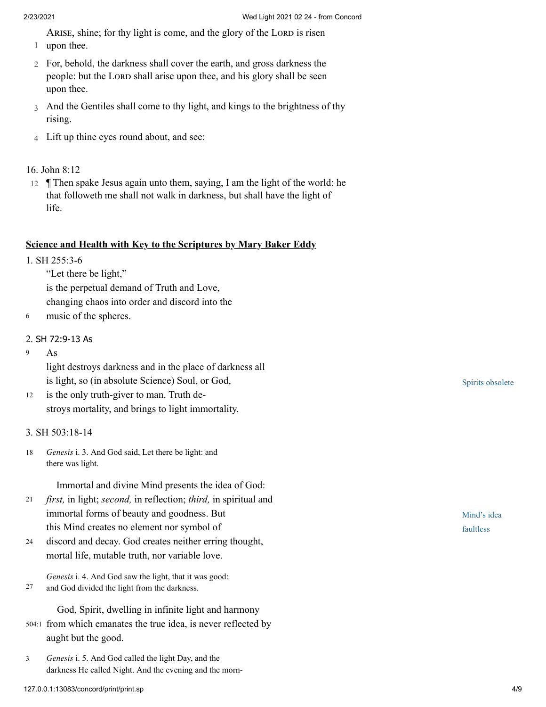ARISE, shine; for thy light is come, and the glory of the LORD is risen

- 1 upon thee.
- 2 For, behold, the darkness shall cover the earth, and gross darkness the people: but the LORD shall arise upon thee, and his glory shall be seen upon thee.
- 3 And the Gentiles shall come to thy light, and kings to the brightness of thy rising.
- 4 Lift up thine eyes round about, and see:

## 16. [John 8:12](http://www.concordworks.com/citation/John%208:12)

12 ¶ Then spake Jesus again unto them, saying, I am the light of the world: he that followeth me shall not walk in darkness, but shall have the light of life.

## **Science and Health with Key to the Scriptures by Mary Baker Eddy**

- 1. [SH 255:3-6](http://www.concordworks.com/citation/SH%20255:3-6)
	- "Let there be light,"

is the perpetual demand of Truth and Love, changing chaos into order and discord into the

6 music of the spheres.

## 2. SH [72:9-13](http://www.concordworks.com/citation/SH%2072:9-13%20As) As

As 9

> light destroys darkness and in the place of darkness all is light, so (in absolute Science) Soul, or God,

is the only truth-giver to man. Truth de‐ stroys mortality, and brings to light immortality. 12

## 3. [SH 503:18-14](http://www.concordworks.com/citation/SH%20503:18-14)

*Genesis* i. 3. And God said, Let there be light: and there was light. 18

Immortal and divine Mind presents the idea of God:

- *first,* in light; *second,* in reflection; *third,* in spiritual and immortal forms of beauty and goodness. But this Mind creates no element nor symbol of 21
- discord and decay. God creates neither erring thought, mortal life, mutable truth, nor variable love. 24

*Genesis* i. 4. And God saw the light, that it was good: and God divided the light from the darkness. 27

God, Spirit, dwelling in infinite light and harmony

- 504:1 from which emanates the true idea, is never reflected by aught but the good.
- *Genesis* i. 5. And God called the light Day, and the darkness He called Night. And the evening and the morn-3

Spirits obsolete

Mind's idea faultless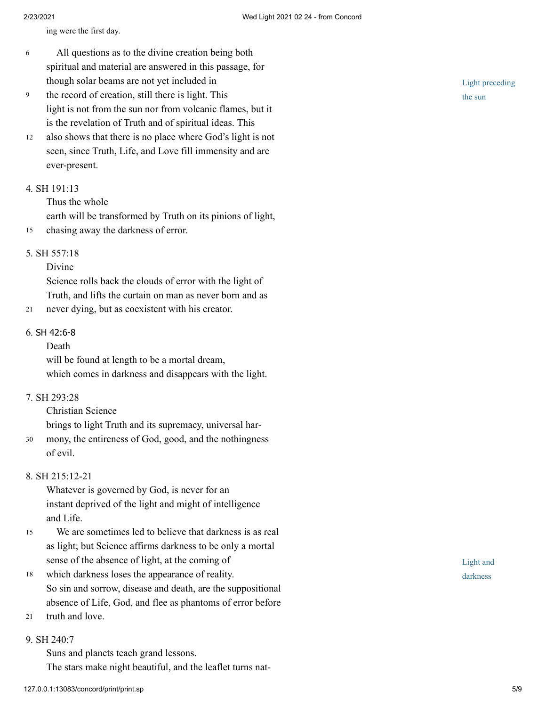ing were the first day.

- All questions as to the divine creation being both spiritual and material are answered in this passage, for though solar beams are not yet included in 6
- the record of creation, still there is light. This light is not from the sun nor from volcanic flames, but it is the revelation of Truth and of spiritual ideas. This 9
- also shows that there is no place where God's light is not seen, since Truth, Life, and Love fill immensity and are ever-present. 12

#### 4. [SH 191:13](http://www.concordworks.com/citation/SH%20191:13)

Thus the whole

earth will be transformed by Truth on its pinions of light,

15 chasing away the darkness of error.

#### 5. [SH 557:18](http://www.concordworks.com/citation/SH%20557:18)

#### Divine

Science rolls back the clouds of error with the light of Truth, and lifts the curtain on man as never born and as

21 never dying, but as coexistent with his creator.

#### 6. SH [42:6-8](http://www.concordworks.com/citation/SH%2042:6-8)

## Death

will be found at length to be a mortal dream, which comes in darkness and disappears with the light.

## 7. [SH 293:28](http://www.concordworks.com/citation/SH%20293:28)

Christian Science

brings to light Truth and its supremacy, universal har‐

mony, the entireness of God, good, and the nothingness of evil. 30

## 8. [SH 215:12-21](http://www.concordworks.com/citation/SH%20215:12-21)

Whatever is governed by God, is never for an instant deprived of the light and might of intelligence and Life.

- We are sometimes led to believe that darkness is as real as light; but Science affirms darkness to be only a mortal sense of the absence of light, at the coming of 15
- which darkness loses the appearance of reality. So sin and sorrow, disease and death, are the suppositional absence of Life, God, and flee as phantoms of error before 18
- truth and love. 21

#### 9. [SH 240:7](http://www.concordworks.com/citation/SH%20240:7)

Suns and planets teach grand lessons. The stars make night beautiful, and the leaflet turns natLight preceding the sun

Light and darkness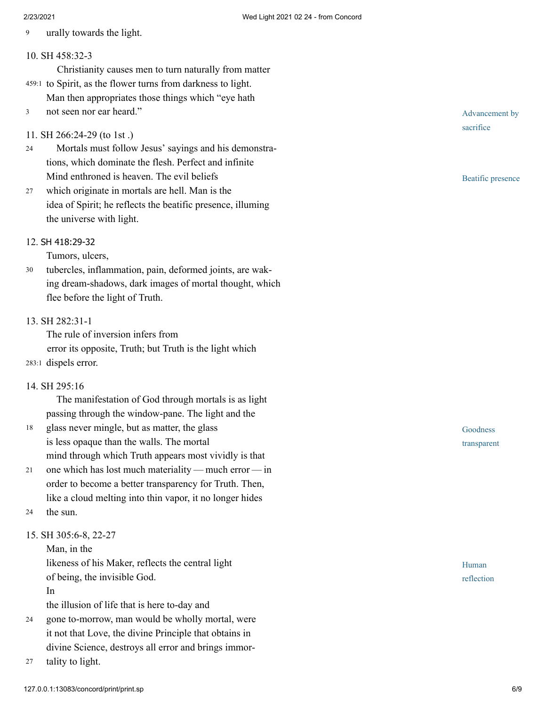9 urally towards the light.

## 10. [SH 458:32-3](http://www.concordworks.com/citation/SH%20458:32-3)

- Christianity causes men to turn naturally from matter 459:1 to Spirit, as the flower turns from darkness to light.
- Man then appropriates those things which "eye hath
- not seen nor ear heard." 3

## 11. [SH 266:24-29 \(to 1st .\)](http://www.concordworks.com/citation/SH%20266:24-29%20(to%201st%20.))

- Mortals must follow Jesus' sayings and his demonstra‐ tions, which dominate the flesh. Perfect and infinite Mind enthroned is heaven. The evil beliefs 24
- which originate in mortals are hell. Man is the idea of Spirit; he reflects the beatific presence, illuming the universe with light. 27

## 12. SH [418:29-32](http://www.concordworks.com/citation/SH%20418:29-32)

Tumors, ulcers,

tubercles, inflammation, pain, deformed joints, are wak‐ ing dream-shadows, dark images of mortal thought, which flee before the light of Truth. 30

## 13. [SH 282:31-1](http://www.concordworks.com/citation/SH%20282:31-1)

The rule of inversion infers from error its opposite, Truth; but Truth is the light which 283:1 dispels error.

## 14. [SH 295:16](http://www.concordworks.com/citation/SH%20295:16)

 The manifestation of God through mortals is as light passing through the window-pane. The light and the

- glass never mingle, but as matter, the glass is less opaque than the walls. The mortal mind through which Truth appears most vividly is that 18
- one which has lost much materiality — much error — in order to become a better transparency for Truth. Then, like a cloud melting into thin vapor, it no longer hides 21
- the sun. 24

## 15. [SH 305:6-8, 22-27](http://www.concordworks.com/citation/SH%20305:6-8,%2022-27)

Man, in the

likeness of his Maker, reflects the central light of being, the invisible God.

In

the illusion of life that is here to-day and

- gone to-morrow, man would be wholly mortal, were it not that Love, the divine Principle that obtains in divine Science, destroys all error and brings immor‐ 24
- tality to light. 27

Advancement by sacrifice

Beatific presence

Goodness transparent

Human reflection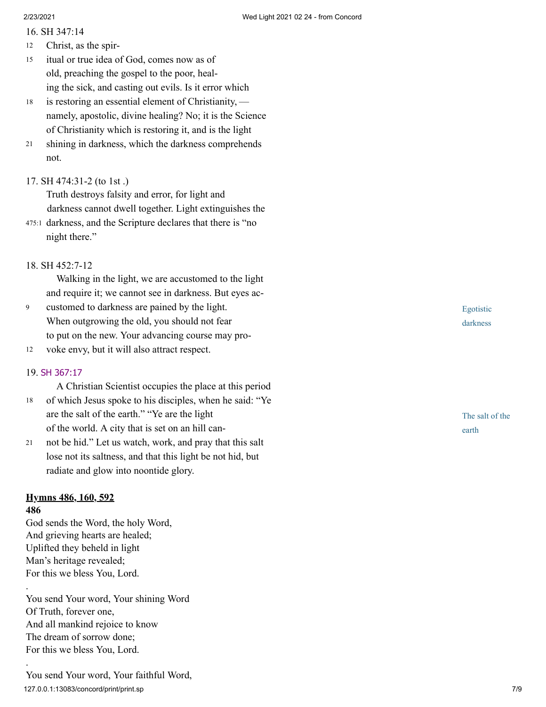16. [SH 347:14](http://www.concordworks.com/citation/SH%20347:14)

- Christ, as the spir‐ 12
- itual or true idea of God, comes now as of old, preaching the gospel to the poor, heal‐ ing the sick, and casting out evils. Is it error which 15
- is restoring an essential element of Christianity,  namely, apostolic, divine healing? No; it is the Science of Christianity which is restoring it, and is the light 18
- shining in darkness, which the darkness comprehends not. 21
- 17. [SH 474:31-2 \(to 1st .\)](http://www.concordworks.com/citation/SH%20474:31-2%20(to%201st%20.))

Truth destroys falsity and error, for light and darkness cannot dwell together. Light extinguishes the

- darkness, and the Scripture declares that there is "no 475:1 night there."
- 18. [SH 452:7-12](http://www.concordworks.com/citation/SH%20452:7-12)

 Walking in the light, we are accustomed to the light and require it; we cannot see in darkness. But eyes ac‐

- customed to darkness are pained by the light. When outgrowing the old, you should not fear to put on the new. Your advancing course may pro‐ 9
- voke envy, but it will also attract respect. 12

## 19. SH [367:17](http://www.concordworks.com/citation/SH%20367:17)

 A Christian Scientist occupies the place at this period of which Jesus spoke to his disciples, when he said: "Ye are the salt of the earth." "Ye are the light of the world. A city that is set on an hill can‐ 18

not be hid." Let us watch, work, and pray that this salt lose not its saltness, and that this light be not hid, but radiate and glow into noontide glory. 21

## **Hymns 486, 160, 592**

## **486**

.

.

God sends the Word, the holy Word, And grieving hearts are healed; Uplifted they beheld in light Man's heritage revealed; For this we bless You, Lord.

You send Your word, Your shining Word Of Truth, forever one, And all mankind rejoice to know The dream of sorrow done; For this we bless You, Lord.

Egotistic darkness

The salt of the earth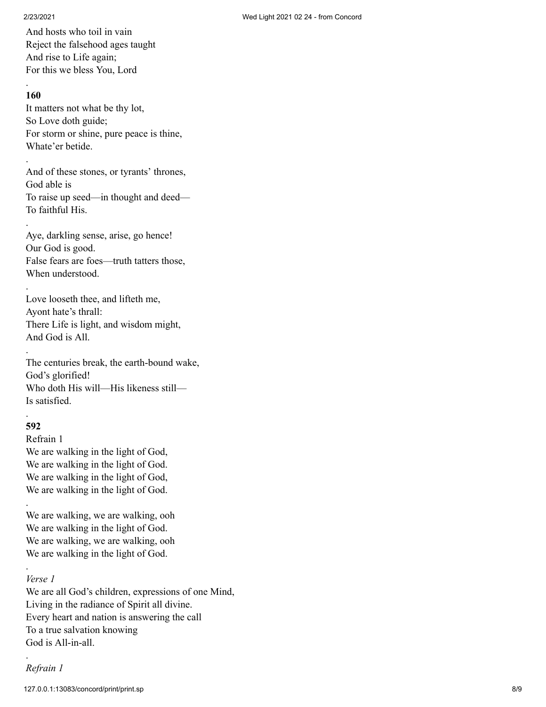And hosts who toil in vain Reject the falsehood ages taught And rise to Life again; For this we bless You, Lord

## **160**

.

.

.

.

.

It matters not what be thy lot, So Love doth guide; For storm or shine, pure peace is thine, Whate'er betide.

And of these stones, or tyrants' thrones, God able is To raise up seed—in thought and deed— To faithful His.

Aye, darkling sense, arise, go hence! Our God is good. False fears are foes—truth tatters those, When understood.

Love looseth thee, and lifteth me, Ayont hate's thrall: There Life is light, and wisdom might, And God is All.

The centuries break, the earth-bound wake, God's glorified! Who doth His will—His likeness still— Is satisfied.

#### . **592**

.

.

Refrain 1 We are walking in the light of God, We are walking in the light of God. We are walking in the light of God, We are walking in the light of God.

We are walking, we are walking, ooh We are walking in the light of God. We are walking, we are walking, ooh We are walking in the light of God.

## *Verse 1*

We are all God's children, expressions of one Mind, Living in the radiance of Spirit all divine. Every heart and nation is answering the call To a true salvation knowing God is All-in-all.

*Refrain 1*

.